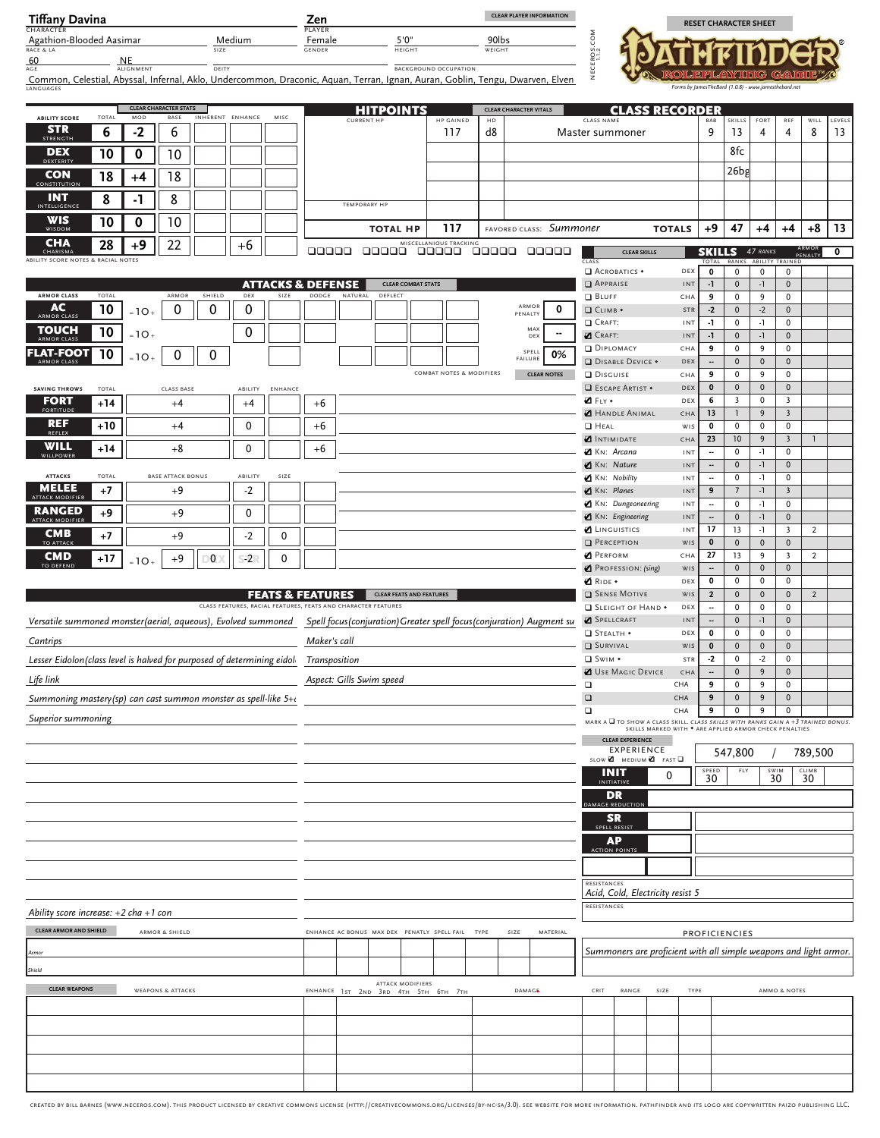| <b>Tiffany Davina</b><br><b>CHARACTER</b>                                                 |                 |                        |                                  |                |                                                               |                              | Zen<br>PLAYER    |                   |                                                         |                              |                  |                  | <b>CLEAR PLAYER INFORMATION</b>                                                                                                    |                                           |                         |                                                                                                                                                         | <b>RESET CHARACTER SHEET</b>                         |                                                              |                               |                                           |                |                         |
|-------------------------------------------------------------------------------------------|-----------------|------------------------|----------------------------------|----------------|---------------------------------------------------------------|------------------------------|------------------|-------------------|---------------------------------------------------------|------------------------------|------------------|------------------|------------------------------------------------------------------------------------------------------------------------------------|-------------------------------------------|-------------------------|---------------------------------------------------------------------------------------------------------------------------------------------------------|------------------------------------------------------|--------------------------------------------------------------|-------------------------------|-------------------------------------------|----------------|-------------------------|
| Agathion-Blooded Aasimar<br>RACE & LA                                                     |                 |                        |                                  | SIZE           | Medium                                                        |                              | Female<br>GENDER |                   | 5'0''<br><b>HEIGHT</b>                                  |                              |                  | 90lbs<br>WEIGHT  |                                                                                                                                    |                                           |                         |                                                                                                                                                         |                                                      |                                                              |                               |                                           |                |                         |
| 60<br><b>AGE</b>                                                                          |                 | NE<br><b>ALIGNMENT</b> |                                  | DEITY          |                                                               |                              |                  |                   |                                                         | <b>BACKGROUND OCCUPATION</b> |                  |                  |                                                                                                                                    | EDS.                                      |                         |                                                                                                                                                         |                                                      |                                                              |                               |                                           |                |                         |
| LANGUAGES                                                                                 |                 |                        |                                  |                |                                                               |                              |                  |                   |                                                         |                              |                  |                  | Common, Celestial, Abyssal, Infernal, Aklo, Undercommon, Draconic, Aquan, Terran, Ignan, Auran, Goblin, Tengu, Dwarven, Elven      |                                           |                         |                                                                                                                                                         | Forms by JamesTheBard (1.0.8) - www.jamesthebard.net |                                                              |                               |                                           |                |                         |
|                                                                                           |                 |                        | <b>CLEAR CHARACTER STATS</b>     |                |                                                               |                              |                  |                   | <b>HITPOINTS</b>                                        |                              |                  |                  | <b>CLEAR CHARACTER VITALS</b>                                                                                                      |                                           |                         | <b>CLASS RECORDER</b>                                                                                                                                   |                                                      |                                                              |                               |                                           |                |                         |
| <b>ABILITY SCORE</b><br><b>STR</b><br><b>STRENGTH</b>                                     | TOTAL<br>6      | MOD<br>$-2$            | BASE<br>6                        |                | INHERENT ENHANCE                                              | MISC                         |                  | <b>CURRENT HP</b> |                                                         |                              | HP GAINED<br>117 | ${\sf HD}$<br>d8 |                                                                                                                                    | CLASS NAME<br>Master summoner             |                         |                                                                                                                                                         | BAB<br>9                                             | SKILLS FORT<br>13                                            | $\overline{4}$                | REF<br>4                                  | WILL<br>8      | LEVELS<br>13            |
| <b>DEX</b>                                                                                | $\overline{10}$ | $\mathbf 0$            | 10                               |                |                                                               |                              |                  |                   |                                                         |                              |                  |                  |                                                                                                                                    |                                           |                         |                                                                                                                                                         |                                                      | 8fc                                                          |                               |                                           |                |                         |
| DEXTERITY<br><b>CON</b>                                                                   | $\overline{18}$ | $+4$                   | 18                               |                |                                                               |                              |                  |                   |                                                         |                              |                  |                  |                                                                                                                                    |                                           |                         |                                                                                                                                                         |                                                      | $26$ bg                                                      |                               |                                           |                |                         |
| CONSTITUTION<br><b>INT</b>                                                                | 8               | -1                     | 8                                |                |                                                               |                              |                  |                   |                                                         |                              |                  |                  |                                                                                                                                    |                                           |                         |                                                                                                                                                         |                                                      |                                                              |                               |                                           |                |                         |
| INTELLIGENC<br><b>WIS</b>                                                                 | $\overline{10}$ | $\mathbf 0$            | 10                               |                |                                                               |                              |                  | TEMPORARY HP      |                                                         |                              |                  |                  |                                                                                                                                    |                                           |                         |                                                                                                                                                         |                                                      |                                                              |                               |                                           |                |                         |
| WISDOM<br><b>CHA</b>                                                                      | 28              | $+9$                   | 22                               |                | $+6$                                                          |                              |                  |                   | <b>TOTAL HP</b>                                         | MISCELLANIOUS TRACKING       | 117              |                  | FAVORED CLASS: Summoner                                                                                                            |                                           |                         | <b>TOTALS</b>                                                                                                                                           |                                                      | $+9$ 47                                                      | $+4$                          | $+4$                                      | $+8$           | $ 13\rangle$            |
| CHARISMA<br>ABILITY SCORE NOTES & RACIAL NOTES                                            |                 |                        |                                  |                |                                                               |                              | 00000            |                   |                                                         |                              |                  |                  | 00000 00000 00000 00000                                                                                                            | CLASS                                     | <b>CLEAR SKILLS</b>     |                                                                                                                                                         |                                                      | <b>SKILLS</b> 47 RANKS<br><b>FOTAL RANKS ABILITY TRAINED</b> |                               | PENALTY                                   |                | $\overline{\mathbf{0}}$ |
|                                                                                           |                 |                        |                                  |                |                                                               | <b>ATTACKS &amp; DEFENSE</b> |                  |                   |                                                         | <b>CLEAR COMBAT STATS</b>    |                  |                  |                                                                                                                                    | ACROBATICS .<br>APPRAISE                  |                         | DEX<br>INT                                                                                                                                              | $\mathbf{o}$<br>$-1$                                 | $\mathbf 0$<br>$\overline{0}$                                | $\overline{0}$<br>$-1$        | $\overline{0}$<br>$\mathbf{0}$            |                |                         |
| <b>ARMOR CLASS</b><br><b>AC</b>                                                           | TOTAL           |                        | ARMOR                            | SHIELD         | <b>DEX</b>                                                    | SIZE                         | DODGE            | NATURAL           | DEFLECT                                                 |                              |                  |                  | ARMOR                                                                                                                              | <b>BLUFF</b>                              |                         | CHA                                                                                                                                                     | 9                                                    | $\mathbf 0$                                                  | 9                             | $\mathbf{0}$                              |                |                         |
| <b>ARMOR CLAS</b>                                                                         | $\overline{10}$ | $=10.$                 | $\mathbf 0$                      | $\overline{0}$ | 0                                                             |                              |                  |                   |                                                         |                              |                  |                  | $\mathbf 0$<br>PENALTY                                                                                                             | <b>Q</b> CLIMB +<br>CRAFT:                |                         | STR<br>INT                                                                                                                                              | $-2$<br>$-1$                                         | $\overline{0}$<br>$\mathbf 0$                                | $-2$<br>$-1$                  | $\mathbf{0}$<br>$\mathbf 0$               |                |                         |
| <b>TOUCH</b>                                                                              | 10              | $=10$                  |                                  |                | 0                                                             |                              |                  |                   |                                                         |                              |                  |                  | MAX<br>--<br>DEX                                                                                                                   | <b>Z</b> CRAFT:<br>DIPLOMACY              |                         | INT<br>CHA                                                                                                                                              | $-1$<br>9                                            | $\overline{0}$<br>$\mathbf 0$                                | $-1$<br>9                     | $\mathbf{0}$<br>$^{\circ}$                |                |                         |
| FLAT-FOOT<br><b>ARMOR CLASS</b>                                                           | 10              | $-10$                  | 0                                | $\mathbf 0$    |                                                               |                              |                  |                   |                                                         |                              |                  |                  | SPELL<br>0%<br>FAILURE                                                                                                             |                                           | DISABLE DEVICE .        | DEX                                                                                                                                                     | $\sim$                                               | $\overline{0}$                                               | $\overline{0}$                | $\overline{0}$                            |                |                         |
| <b>SAVING THROWS</b>                                                                      | <b>TOTAL</b>    |                        | CLASS BASE                       |                |                                                               | ABILITY ENHANCE              |                  |                   |                                                         | COMBAT NOTES & MODIFIERS     |                  |                  | <b>CLEAR NOTES</b>                                                                                                                 | <b>DISGUISE</b>                           | <b>ESCAPE ARTIST *</b>  | CHA<br>DEX                                                                                                                                              | 9<br>$\mathbf 0$                                     | $\mathbf 0$<br>$\overline{0}$                                | 9<br>$\overline{0}$           | $\mathbf 0$<br>$\mathbf{0}$               |                |                         |
| <b>FORT</b><br><b>FORTITUDE</b>                                                           | $+14$           |                        | $+4$                             |                | $+4$                                                          |                              | $+6$             |                   |                                                         |                              |                  |                  |                                                                                                                                    | <b>Z</b> FLY +                            |                         | DEX                                                                                                                                                     | 6                                                    | $\overline{\mathbf{3}}$                                      | $\overline{0}$                | $\overline{\mathbf{3}}$                   |                |                         |
| <b>REF</b>                                                                                | $+10$           |                        | $+4$                             |                | $\mathbf 0$                                                   |                              | $+6$             |                   |                                                         |                              |                  |                  |                                                                                                                                    | $\Box$ HEAL                               | <b>HANDLE ANIMAL</b>    | CHA<br>WIS                                                                                                                                              | 13<br>$\mathbf 0$                                    | $\mathbf{1}$<br>$\mathbf 0$                                  | 9<br>$\overline{0}$           | $\overline{\mathbf{3}}$<br>$^{\circ}$     |                |                         |
| REFLEX<br>WILL                                                                            | $+14$           |                        | $+8$                             |                | $\mathbf 0$                                                   |                              | $+6$             |                   |                                                         |                              |                  |                  |                                                                                                                                    | <b>INTIMIDATE</b><br>KN: Arcana           |                         | CHA<br>INT                                                                                                                                              | 23<br>$\overline{\phantom{a}}$                       | 10<br>$\mathbf 0$                                            | 9<br>$-1$                     | $\overline{\mathbf{3}}$<br>$^{\circ}$     |                |                         |
| WILLPOWER                                                                                 |                 |                        |                                  |                |                                                               |                              |                  |                   |                                                         |                              |                  |                  |                                                                                                                                    | KN: Nature                                |                         | INT                                                                                                                                                     | $\sim$                                               | $\overline{0}$                                               | $-1$                          | $\overline{0}$                            |                |                         |
| <b>ATTACKS</b><br><b>MELEE</b>                                                            | TOTAL<br>$+7$   |                        | <b>BASE ATTACK BONUS</b><br>$+9$ |                | ABILITY<br>$-2$                                               | SIZE                         |                  |                   |                                                         |                              |                  |                  |                                                                                                                                    | KN: Nobility<br>$\blacksquare$ KN: Planes |                         | INT<br>INT                                                                                                                                              | <br>9                                                | $\mathbf 0$<br>$7\overline{ }$                               | $-1$<br>$-1$                  | $^{\circ}$<br>$\overline{3}$              |                |                         |
| <b>ATTACK MODIFII</b><br><b>RANGED</b>                                                    | $+9$            |                        | $+9$                             |                | $\mathbf 0$                                                   |                              |                  |                   |                                                         |                              |                  |                  |                                                                                                                                    | KN: Dungeoneering                         |                         | INT                                                                                                                                                     | $\overline{\phantom{a}}$                             | $\mathbf 0$                                                  | $-1$                          | $\mathbf 0$                               |                |                         |
| ATTACK MODIFIER<br><b>CMB</b>                                                             |                 |                        |                                  |                |                                                               |                              |                  |                   |                                                         |                              |                  |                  |                                                                                                                                    | KN: Engineering<br><b>Z</b> LINGUISTICS   |                         | INT<br>INT                                                                                                                                              | $\overline{\phantom{a}}$<br>17                       | $\overline{0}$<br>13                                         | $-1$<br>$-1$                  | $\mathbf{0}$<br>$\overline{\mathbf{3}}$   | $\overline{2}$ |                         |
| <b>TO ATTACK</b>                                                                          | $+7$            |                        | $+9$                             |                | $-2$                                                          | 0                            |                  |                   |                                                         |                              |                  |                  |                                                                                                                                    | PERCEPTION<br><b>PERFORM</b>              |                         | WIS<br>CHA                                                                                                                                              | $\mathbf 0$<br>27                                    | $\overline{0}$<br>13                                         | $\overline{0}$<br>9           | $\mathbf{0}$<br>$\overline{\mathbf{3}}$   | $\overline{2}$ |                         |
| <b>CMD</b><br>TO DEFENI                                                                   | $+17$           | -10                    | $+9$                             | $\circ$        | $-2$                                                          | $\mathbf{0}$                 |                  |                   |                                                         |                              |                  |                  |                                                                                                                                    |                                           | PROFESSION: (sing)      | WIS                                                                                                                                                     | $\overline{\phantom{a}}$                             | $\mathbf 0$                                                  | $\overline{0}$                | $\mathbf{0}$                              |                |                         |
|                                                                                           |                 |                        |                                  |                |                                                               | <b>FEATS &amp; FEATURES</b>  |                  |                   | <b>CLEAR FEATS AND FEATURES</b>                         |                              |                  |                  |                                                                                                                                    | <b>Z</b> RIDE +<br><b>SENSE MOTIVE</b>    |                         | DEX<br>WIS                                                                                                                                              | $\mathbf{o}$<br>$\overline{\mathbf{2}}$              | $\mathbf 0$<br>$\overline{0}$                                | $\mathbf 0$<br>$\overline{0}$ | $^{\circ}$<br>$\mathbf{0}$                | $\overline{2}$ |                         |
|                                                                                           |                 |                        |                                  |                | CLASS FEATURES, RACIAL FEATURES, FEATS AND CHARACTER FEATURES |                              |                  |                   |                                                         |                              |                  |                  |                                                                                                                                    |                                           | SLEIGHT OF HAND .       | DEX                                                                                                                                                     | $\overline{\phantom{a}}$                             | $\mathbf 0$                                                  | $\mathbf 0$                   | $\mathbf 0$                               |                |                         |
|                                                                                           |                 |                        |                                  |                |                                                               |                              |                  |                   |                                                         |                              |                  |                  | Versatile summoned monster(aerial, aqueous), Evolved summoned Spell focus(conjuration) Greater spell focus(conjuration) Augment su | SPELLCRAFT<br>$I$ Stealth $\star$         |                         | INT<br>DEX                                                                                                                                              | $\sim$<br>$\mathbf{o}$                               | $\overline{0}$<br>$\mathbf 0$                                | $-1$<br>$\overline{0}$        | $\mathbf{0}$<br>$\mathbf 0$               |                |                         |
| Cantrips                                                                                  |                 |                        |                                  |                |                                                               |                              | Maker's call     |                   |                                                         |                              |                  |                  |                                                                                                                                    | <b>SURVIVAL</b>                           |                         | WIS                                                                                                                                                     | $\bullet$                                            | $\overline{0}$                                               | $\overline{0}$                | $\mathbf{0}$                              |                |                         |
| Lesser Eidolon (class level is halved for purposed of determining eidol Transposition     |                 |                        |                                  |                |                                                               |                              |                  |                   |                                                         |                              |                  |                  |                                                                                                                                    | <b>□</b> Swim •                           |                         | STR<br>USE MAGIC DEVICE CHA                                                                                                                             | $-2$<br>$\sim$                                       | 0<br>0                                                       | $-2$<br>9                     | $\overline{\mathbf{0}}$<br>$\overline{0}$ |                |                         |
| Life link                                                                                 |                 |                        |                                  |                |                                                               |                              |                  |                   | Aspect: Gills Swim speed                                |                              |                  |                  |                                                                                                                                    | $\Box$<br>$\Box$                          |                         | CHA<br>CHA                                                                                                                                              | 9<br>9                                               | $\mathbf 0$<br>0                                             | 9<br>9                        | $\mathbf{0}$<br>$\mathbf{0}$              |                |                         |
| Summoning mastery(sp) can cast summon monster as spell-like $5 + c$<br>Superior summoning |                 |                        |                                  |                |                                                               |                              |                  |                   |                                                         |                              |                  |                  |                                                                                                                                    | $\Box$                                    |                         | CHA                                                                                                                                                     | 9                                                    | $\Omega$                                                     | 9                             | $\Omega$                                  |                |                         |
|                                                                                           |                 |                        |                                  |                |                                                               |                              |                  |                   |                                                         |                              |                  |                  |                                                                                                                                    |                                           | <b>CLEAR EXPERIENCE</b> | MARK A $\Box$ TO SHOW A CLASS SKILL. CLASS SKILLS WITH RANKS CAIN A +3 TRAINED BONUS.<br>SKILLS MARKED WITH $\bullet$ ARE APPLIED ARMOR CHECK PENALTIES |                                                      |                                                              |                               |                                           |                |                         |
|                                                                                           |                 |                        |                                  |                |                                                               |                              |                  |                   |                                                         |                              |                  |                  |                                                                                                                                    |                                           | <b>EXPERIENCE</b>       | SLOW $\blacksquare$ MEDIUM $\blacksquare$ FAST $\square$                                                                                                |                                                      | 547,800                                                      |                               | 789,500                                   |                |                         |
|                                                                                           |                 |                        |                                  |                |                                                               |                              |                  |                   |                                                         |                              |                  |                  |                                                                                                                                    | <b>INIT</b>                               |                         | $\mathbf 0$                                                                                                                                             | $\overset{\text{SPEED}}{30}$                         | FLY                                                          | 30 <sup>5</sup>               | 30 <sup>CD</sup>                          |                |                         |
|                                                                                           |                 |                        |                                  |                |                                                               |                              |                  |                   |                                                         |                              |                  |                  |                                                                                                                                    | <b>INITIATIV</b><br><b>DR</b>             |                         |                                                                                                                                                         |                                                      |                                                              |                               |                                           |                |                         |
|                                                                                           |                 |                        |                                  |                |                                                               |                              |                  |                   |                                                         |                              |                  |                  |                                                                                                                                    | <b>SR</b>                                 | <b>IAGE REDUCTIO</b>    |                                                                                                                                                         |                                                      |                                                              |                               |                                           |                |                         |
|                                                                                           |                 |                        |                                  |                |                                                               |                              |                  |                   |                                                         |                              |                  |                  |                                                                                                                                    | SPELL RESIST<br><b>AP</b>                 |                         |                                                                                                                                                         |                                                      |                                                              |                               |                                           |                |                         |
|                                                                                           |                 |                        |                                  |                |                                                               |                              |                  |                   |                                                         |                              |                  |                  |                                                                                                                                    | <b>ACTION POINTS</b>                      |                         |                                                                                                                                                         |                                                      |                                                              |                               |                                           |                |                         |
|                                                                                           |                 |                        |                                  |                |                                                               |                              |                  |                   |                                                         |                              |                  |                  |                                                                                                                                    |                                           |                         |                                                                                                                                                         |                                                      |                                                              |                               |                                           |                |                         |
|                                                                                           |                 |                        |                                  |                |                                                               |                              |                  |                   |                                                         |                              |                  |                  |                                                                                                                                    | RESISTANCES                               |                         | Acid, Cold, Electricity resist 5                                                                                                                        |                                                      |                                                              |                               |                                           |                |                         |
| Ability score increase: $+2$ cha $+1$ con                                                 |                 |                        |                                  |                |                                                               |                              |                  |                   |                                                         |                              |                  |                  |                                                                                                                                    | RESISTANCES                               |                         |                                                                                                                                                         |                                                      |                                                              |                               |                                           |                |                         |
| <b>CLEAR ARMOR AND SHIELD</b>                                                             |                 |                        | ARMOR & SHIELD                   |                |                                                               |                              |                  |                   | ENHANCE AC BONUS MAX DEX PENATLY SPELL FAIL TYPE        |                              |                  |                  | MATERIAL<br>SIZE                                                                                                                   |                                           |                         |                                                                                                                                                         | PROFICIENCIES                                        |                                                              |                               |                                           |                |                         |
|                                                                                           |                 |                        |                                  |                |                                                               |                              |                  |                   |                                                         |                              |                  |                  |                                                                                                                                    |                                           |                         | Summoners are proficient with all simple weapons and light armor.                                                                                       |                                                      |                                                              |                               |                                           |                |                         |
| Shield                                                                                    |                 |                        |                                  |                |                                                               |                              |                  |                   |                                                         |                              |                  |                  |                                                                                                                                    |                                           |                         |                                                                                                                                                         |                                                      |                                                              |                               |                                           |                |                         |
| <b>CLEAR WEAPONS</b>                                                                      |                 |                        | <b>WEAPONS &amp; ATTACKS</b>     |                |                                                               |                              |                  |                   | ATTACK MODIFIERS<br>ENHANCE 1st 2ND 3RD 4TH 5TH 6TH 7TH |                              |                  |                  | DAMAGE                                                                                                                             | CRIT                                      | RANGE                   | SIZE                                                                                                                                                    | <b>TYPE</b>                                          |                                                              |                               | AMMO & NOTES                              |                |                         |
|                                                                                           |                 |                        |                                  |                |                                                               |                              |                  |                   |                                                         |                              |                  |                  |                                                                                                                                    |                                           |                         |                                                                                                                                                         |                                                      |                                                              |                               |                                           |                |                         |
|                                                                                           |                 |                        |                                  |                |                                                               |                              |                  |                   |                                                         |                              |                  |                  |                                                                                                                                    |                                           |                         |                                                                                                                                                         |                                                      |                                                              |                               |                                           |                |                         |
|                                                                                           |                 |                        |                                  |                |                                                               |                              |                  |                   |                                                         |                              |                  |                  |                                                                                                                                    |                                           |                         |                                                                                                                                                         |                                                      |                                                              |                               |                                           |                |                         |
|                                                                                           |                 |                        |                                  |                |                                                               |                              |                  |                   |                                                         |                              |                  |                  |                                                                                                                                    |                                           |                         |                                                                                                                                                         |                                                      |                                                              |                               |                                           |                |                         |

| CREATED BY BILL BARNES (WWW.NECEROS.COM). THIS PRODUCT LICENSED BY CREATIVE COMMONS LICENSE (HTTP://CREATIVECOMMONS.ORG/LICENSES/BY-NC-SA/3.0). SEE WEBSITE FOR MORE INFORMATION. PATHFINDER AND ITS LOGO ARE COPYWRITTEN PAIZ |  |
|--------------------------------------------------------------------------------------------------------------------------------------------------------------------------------------------------------------------------------|--|
|                                                                                                                                                                                                                                |  |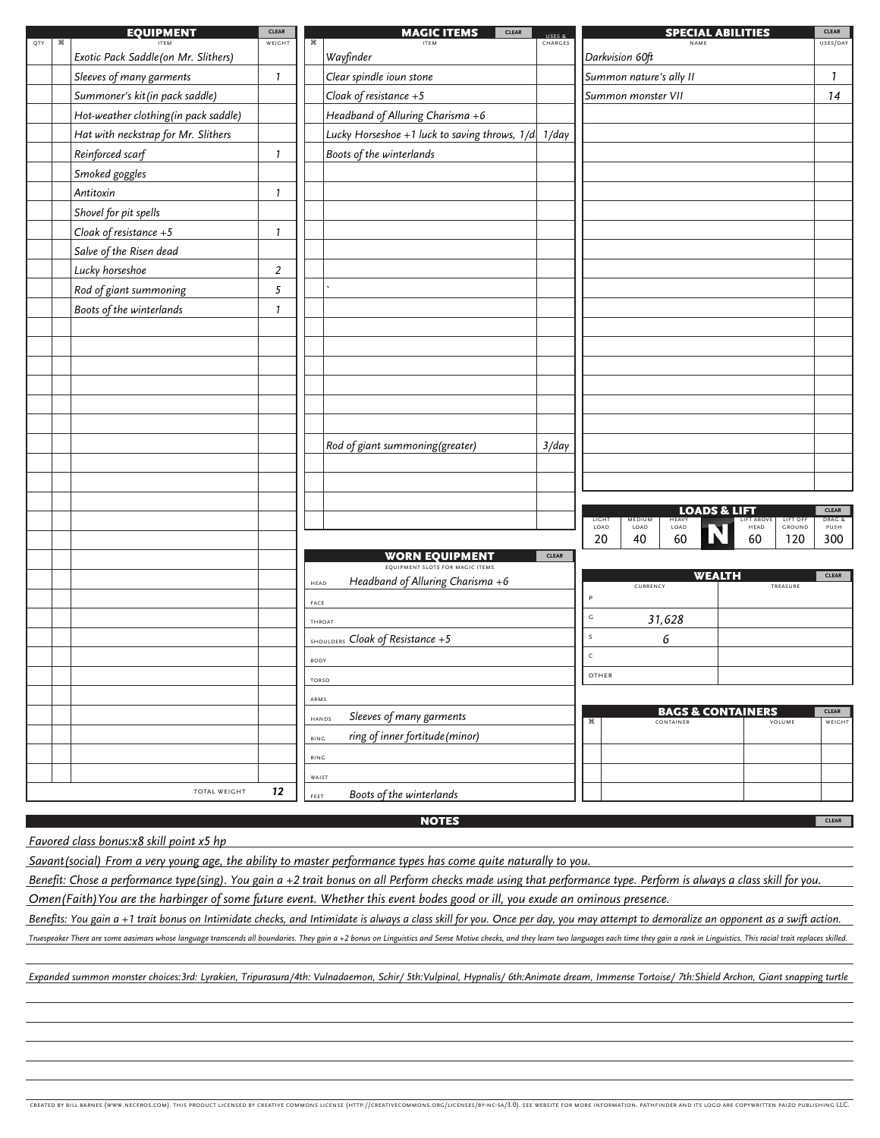|     |   | <b>EQUIPMENT</b>                                    | <b>CLEAR</b>   |              | <b>MAGIC ITEMS</b><br><b>CLEAR</b>                                   | USES 8       |               |                         |                              | <b>SPECIAL ABILITIES</b> |                    |                    | <b>CLEAR</b>                   |
|-----|---|-----------------------------------------------------|----------------|--------------|----------------------------------------------------------------------|--------------|---------------|-------------------------|------------------------------|--------------------------|--------------------|--------------------|--------------------------------|
| QTY | æ | <b>ITFM</b><br>Exotic Pack Saddle (on Mr. Slithers) | WEIGHT         | æ            | <b>ITEN</b><br>Wayfinder                                             | CHARGES      |               | Darkvision 60ft         | NAMI                         |                          |                    |                    | USES/DAY                       |
|     |   | Sleeves of many garments                            | 1              |              | Clear spindle ioun stone                                             |              |               | Summon nature's ally II |                              |                          |                    |                    | $\mathbf{1}$                   |
|     |   | Summoner's kit (in pack saddle)                     |                |              | Cloak of resistance $+5$                                             |              |               | Summon monster VII      |                              |                          |                    |                    | 14                             |
|     |   | Hot-weather clothing (in pack saddle)               |                |              | Headband of Alluring Charisma +6                                     |              |               |                         |                              |                          |                    |                    |                                |
|     |   | Hat with neckstrap for Mr. Slithers                 |                |              | Lucky Horseshoe +1 luck to saving throws, $1/d \left  1/day \right $ |              |               |                         |                              |                          |                    |                    |                                |
|     |   | Reinforced scarf                                    | $\mathbf{1}$   |              | Boots of the winterlands                                             |              |               |                         |                              |                          |                    |                    |                                |
|     |   | Smoked goggles                                      |                |              |                                                                      |              |               |                         |                              |                          |                    |                    |                                |
|     |   | Antitoxin                                           | $\mathbf{1}$   |              |                                                                      |              |               |                         |                              |                          |                    |                    |                                |
|     |   | Shovel for pit spells                               |                |              |                                                                      |              |               |                         |                              |                          |                    |                    |                                |
|     |   | Cloak of resistance $+5$                            | 1              |              |                                                                      |              |               |                         |                              |                          |                    |                    |                                |
|     |   | Salve of the Risen dead                             |                |              |                                                                      |              |               |                         |                              |                          |                    |                    |                                |
|     |   | Lucky horseshoe                                     | $\overline{2}$ |              |                                                                      |              |               |                         |                              |                          |                    |                    |                                |
|     |   | Rod of giant summoning                              | 5              |              |                                                                      |              |               |                         |                              |                          |                    |                    |                                |
|     |   | Boots of the winterlands                            | $\mathbf{1}$   |              |                                                                      |              |               |                         |                              |                          |                    |                    |                                |
|     |   |                                                     |                |              |                                                                      |              |               |                         |                              |                          |                    |                    |                                |
|     |   |                                                     |                |              |                                                                      |              |               |                         |                              |                          |                    |                    |                                |
|     |   |                                                     |                |              |                                                                      |              |               |                         |                              |                          |                    |                    |                                |
|     |   |                                                     |                |              |                                                                      |              |               |                         |                              |                          |                    |                    |                                |
|     |   |                                                     |                |              |                                                                      |              |               |                         |                              |                          |                    |                    |                                |
|     |   |                                                     |                |              |                                                                      |              |               |                         |                              |                          |                    |                    |                                |
|     |   |                                                     |                |              | Rod of giant summoning (greater)                                     | 3/day        |               |                         |                              |                          |                    |                    |                                |
|     |   |                                                     |                |              |                                                                      |              |               |                         |                              |                          |                    |                    |                                |
|     |   |                                                     |                |              |                                                                      |              |               |                         |                              |                          |                    |                    |                                |
|     |   |                                                     |                |              |                                                                      |              |               |                         |                              |                          |                    |                    |                                |
|     |   |                                                     |                |              |                                                                      |              | LIGHT<br>LOAD | MEDIUM<br>LOAD          | <b>HEAVY</b><br>LOAD         | <b>LOADS &amp; LIFT</b>  | LIFT ABOVE<br>HEAD | LIFT OFF<br>GROUND | <b>CLEAR</b><br>DRAG &<br>PUSH |
|     |   |                                                     |                |              |                                                                      |              | 20            | 40                      | 60                           |                          | 60                 | 120                | 300                            |
|     |   |                                                     |                |              | <b>WORN EQUIPMENT</b><br>EQUIPMENT SLOTS FOR MAGIC ITEMS             | <b>CLEAR</b> |               |                         |                              |                          |                    |                    |                                |
|     |   |                                                     |                | HEAD         | Headband of Alluring Charisma +6                                     |              |               | CURRENCY                |                              | <b>WEALTH</b>            |                    | TREASURE           | <b>CLEAR</b>                   |
|     |   |                                                     |                | FACE         |                                                                      |              | P             |                         |                              |                          |                    |                    |                                |
|     |   |                                                     |                |              | <b>TH ROAT</b>                                                       |              | $\mathsf{G}$  |                         | 31,628                       |                          |                    |                    |                                |
|     |   |                                                     |                |              | SHOULDERS Cloak of Resistance +5                                     |              | s             |                         | 6                            |                          |                    |                    |                                |
|     |   |                                                     |                | BODY         |                                                                      |              | $\mathsf{C}$  |                         |                              |                          |                    |                    |                                |
|     |   |                                                     |                | <b>TORSO</b> |                                                                      |              | OTHER         |                         |                              |                          |                    |                    |                                |
|     |   |                                                     |                | ARMS         |                                                                      |              |               |                         |                              |                          |                    |                    |                                |
|     |   |                                                     |                |              | Sleeves of many garments<br>HANDS                                    |              |               |                         | <b>BAGS &amp; CONTAINERS</b> |                          |                    |                    | CLEAR                          |
|     |   |                                                     |                | RING         | ring of inner fortitude (minor)                                      |              | ೫             |                         | CONTAINER                    |                          |                    | <b>VOLUME</b>      | WEIGHT                         |
|     |   |                                                     |                | RING         |                                                                      |              |               |                         |                              |                          |                    |                    |                                |
|     |   |                                                     |                | WAIST        |                                                                      |              |               |                         |                              |                          |                    |                    |                                |
|     |   | <b>TOTAL WEIGHT</b>                                 | 12             | FEET         | Boots of the winterlands                                             |              |               |                         |                              |                          |                    |                    |                                |
|     |   |                                                     |                |              |                                                                      |              |               |                         |                              |                          |                    |                    |                                |

## **NOTES**

## *Favored class bonus:x8 skill point x5 hp*

*Savant(social) From a very young age, the ability to master performance types has come quite naturally to you.*

*Benefit: Chose a performance type(sing). You gain a +2 trait bonus on all Perform checks made using that performance type. Perform is always a class skill for you.*

*Omen(Faith)You are the harbinger of some future event. Whether this event bodes good or ill, you exude an ominous presence.*

*Benefits: You gain a +1 trait bonus on Intimidate checks, and Intimidate is always a class skill for you. Once per day, you may attempt to demoralize an opponent as a swift action.* Truespeaker There are some aasimars whose language transcends all boundaries. They gain a +2 bonus on Linguistics and Sense Motive checks, and they leam two languages each time they gain a rank in Linguistics. This racial **Expanded class bonus:x8 skill point x5 hp**<br> **Expant (social) From a very young age, the ability to master performance types has come quite naturally to you.**<br>
<u>Benefit: Chose a performance type (sing). You gain a +2 trait</u>